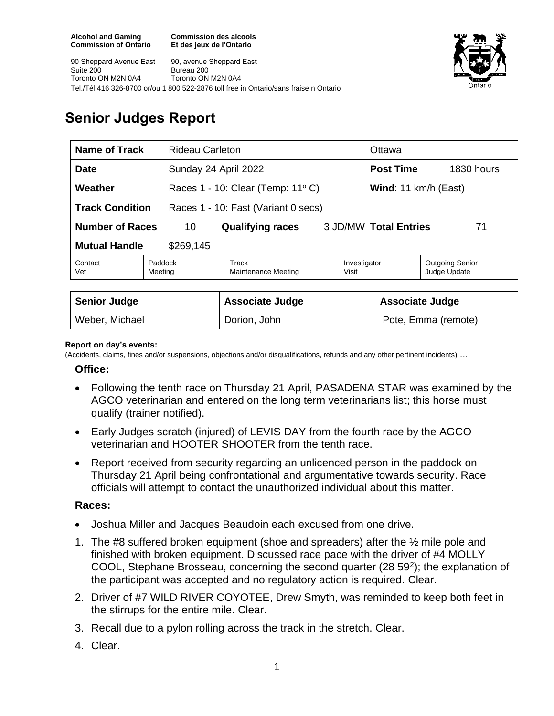**Commission des alcools Et des jeux de l'Ontario**

90 Sheppard Avenue East Suite 200 Toronto ON M2N 0A4 90, avenue Sheppard East Bureau 200 Toronto ON M2N 0A4 Tel./Tél:416 326-8700 or/ou 1 800 522-2876 toll free in Ontario/sans fraise n Ontario



# **Senior Judges Report**

| <b>Name of Track</b><br><b>Rideau Carleton</b>                |                                                                                    |                                  |  | Ottawa                          |                     |  |
|---------------------------------------------------------------|------------------------------------------------------------------------------------|----------------------------------|--|---------------------------------|---------------------|--|
| <b>Date</b>                                                   |                                                                                    | Sunday 24 April 2022             |  | <b>Post Time</b>                | 1830 hours          |  |
| Weather                                                       |                                                                                    | Races 1 - 10: Clear (Temp: 11°C) |  | Wind: 11 km/h (East)            |                     |  |
| <b>Track Condition</b><br>Races 1 - 10: Fast (Variant 0 secs) |                                                                                    |                                  |  |                                 |                     |  |
| <b>Number of Races</b><br>10                                  |                                                                                    | <b>Qualifying races</b>          |  | 3 JD/MW Total Entries<br>71     |                     |  |
| <b>Mutual Handle</b><br>\$269,145                             |                                                                                    |                                  |  |                                 |                     |  |
| Contact<br>Vet                                                | Track<br>Investigator<br>Paddock<br><b>Maintenance Meeting</b><br>Visit<br>Meeting |                                  |  | Outgoing Senior<br>Judge Update |                     |  |
|                                                               |                                                                                    |                                  |  |                                 |                     |  |
| <b>Senior Judge</b>                                           |                                                                                    | <b>Associate Judge</b>           |  | <b>Associate Judge</b>          |                     |  |
| Weber, Michael                                                |                                                                                    | Dorion, John                     |  |                                 | Pote, Emma (remote) |  |

#### **Report on day's events:**

(Accidents, claims, fines and/or suspensions, objections and/or disqualifications, refunds and any other pertinent incidents) ….

#### **Office:**

- Following the tenth race on Thursday 21 April, PASADENA STAR was examined by the AGCO veterinarian and entered on the long term veterinarians list; this horse must qualify (trainer notified).
- Early Judges scratch (injured) of LEVIS DAY from the fourth race by the AGCO veterinarian and HOOTER SHOOTER from the tenth race.
- Report received from security regarding an unlicenced person in the paddock on Thursday 21 April being confrontational and argumentative towards security. Race officials will attempt to contact the unauthorized individual about this matter.

### **Races:**

- Joshua Miller and Jacques Beaudoin each excused from one drive.
- 1. The #8 suffered broken equipment (shoe and spreaders) after the ½ mile pole and finished with broken equipment. Discussed race pace with the driver of #4 MOLLY COOL, Stephane Brosseau, concerning the second quarter (28 59<sup>2</sup>); the explanation of the participant was accepted and no regulatory action is required. Clear.
- 2. Driver of #7 WILD RIVER COYOTEE, Drew Smyth, was reminded to keep both feet in the stirrups for the entire mile. Clear.
- 3. Recall due to a pylon rolling across the track in the stretch. Clear.
- 4. Clear.